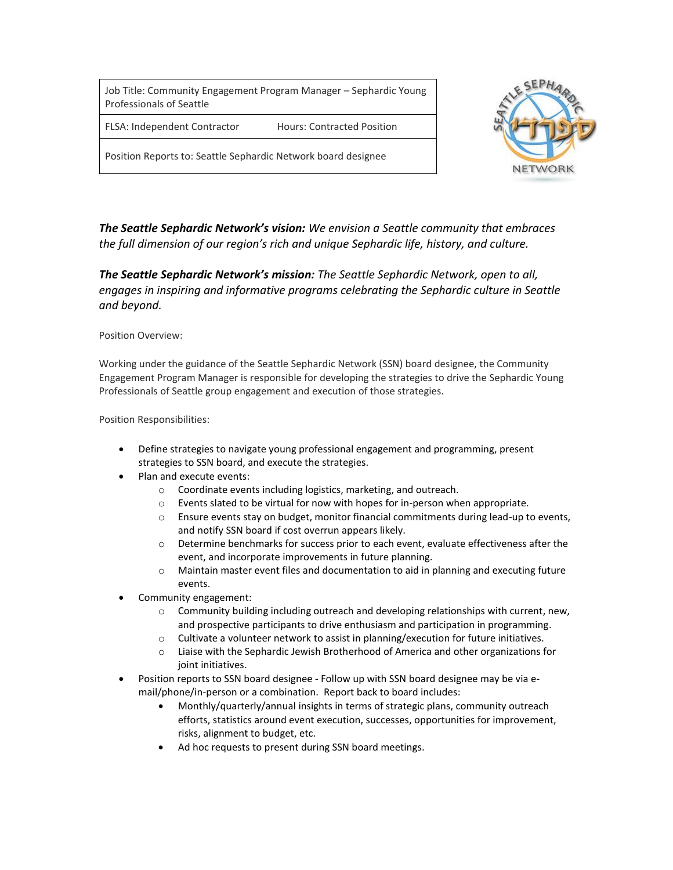Job Title: Community Engagement Program Manager – Sephardic Young Professionals of Seattle

FLSA: Independent Contractor Hours: Contracted Position

Position Reports to: Seattle Sephardic Network board designee



*The Seattle Sephardic Network's vision: We envision a Seattle community that embraces the full dimension of our region's rich and unique Sephardic life, history, and culture.*

*The Seattle Sephardic Network's mission: The Seattle Sephardic Network, open to all, engages in inspiring and informative programs celebrating the Sephardic culture in Seattle and beyond.*

Position Overview:

Working under the guidance of the Seattle Sephardic Network (SSN) board designee, the Community Engagement Program Manager is responsible for developing the strategies to drive the Sephardic Young Professionals of Seattle group engagement and execution of those strategies.

Position Responsibilities:

- Define strategies to navigate young professional engagement and programming, present strategies to SSN board, and execute the strategies.
- Plan and execute events:
	- o Coordinate events including logistics, marketing, and outreach.
	- $\circ$  Events slated to be virtual for now with hopes for in-person when appropriate.
	- o Ensure events stay on budget, monitor financial commitments during lead-up to events, and notify SSN board if cost overrun appears likely.
	- o Determine benchmarks for success prior to each event, evaluate effectiveness after the event, and incorporate improvements in future planning.
	- o Maintain master event files and documentation to aid in planning and executing future events.
- Community engagement:
	- $\circ$  Community building including outreach and developing relationships with current, new, and prospective participants to drive enthusiasm and participation in programming.
	- $\circ$  Cultivate a volunteer network to assist in planning/execution for future initiatives.
	- o Liaise with the Sephardic Jewish Brotherhood of America and other organizations for joint initiatives.
- Position reports to SSN board designee Follow up with SSN board designee may be via email/phone/in-person or a combination. Report back to board includes:
	- Monthly/quarterly/annual insights in terms of strategic plans, community outreach efforts, statistics around event execution, successes, opportunities for improvement, risks, alignment to budget, etc.
	- Ad hoc requests to present during SSN board meetings.